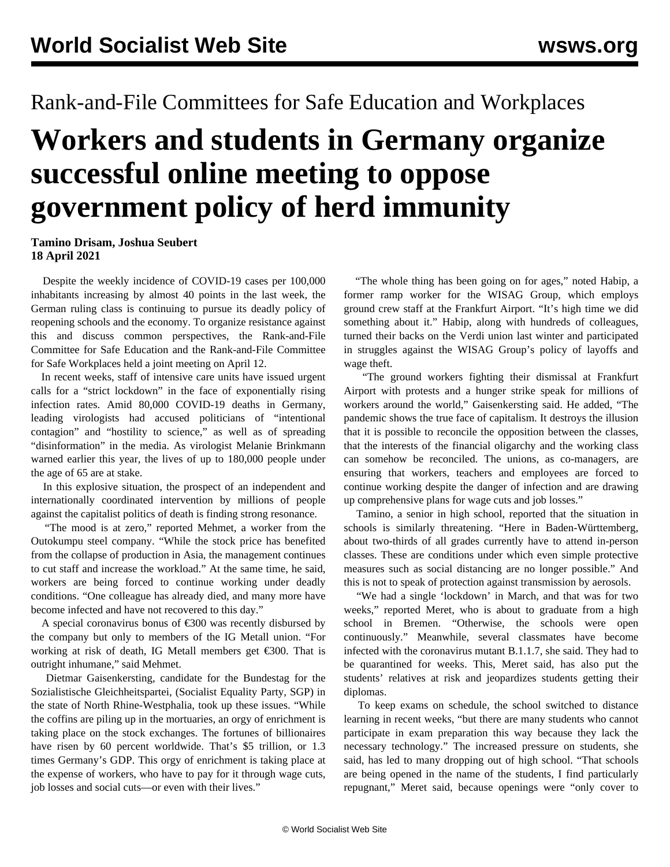## Rank-and-File Committees for Safe Education and Workplaces

## **Workers and students in Germany organize successful online meeting to oppose government policy of herd immunity**

**Tamino Drisam, Joshua Seubert 18 April 2021**

 Despite the weekly incidence of COVID-19 cases per 100,000 inhabitants increasing by almost 40 points in the last week, the German ruling class is continuing to pursue its deadly policy of reopening schools and the economy. To organize resistance against this and discuss common perspectives, the Rank-and-File Committee for Safe Education and the Rank-and-File Committee for Safe Workplaces held a joint meeting on April 12.

 In recent weeks, staff of intensive care units have issued urgent calls for a "strict lockdown" in the face of exponentially rising infection rates. Amid 80,000 COVID-19 deaths in Germany, leading virologists had accused politicians of "intentional contagion" and "hostility to science," as well as of spreading "disinformation" in the media. As virologist Melanie Brinkmann warned earlier this year, the lives of up to 180,000 people under the age of 65 are at stake.

 In this explosive situation, the prospect of an independent and internationally coordinated intervention by millions of people against the capitalist politics of death is finding strong resonance.

 "The mood is at zero," reported Mehmet, a worker from the Outokumpu steel company. "While the stock price has benefited from the collapse of production in Asia, the management continues to cut staff and increase the workload." At the same time, he said, workers are being forced to continue working under deadly conditions. "One colleague has already died, and many more have become infected and have not recovered to this day."

A special coronavirus bonus of  $\epsilon$ 300 was recently disbursed by the company but only to members of the IG Metall union. "For working at risk of death, IG Metall members get €300. That is outright inhumane," said Mehmet.

 Dietmar Gaisenkersting, candidate for the Bundestag for the Sozialistische Gleichheitspartei, (Socialist Equality Party, SGP) in the state of North Rhine-Westphalia, took up these issues. "While the coffins are piling up in the mortuaries, an orgy of enrichment is taking place on the stock exchanges. The fortunes of billionaires have risen by 60 percent worldwide. That's \$5 trillion, or 1.3 times Germany's GDP. This orgy of enrichment is taking place at the expense of workers, who have to pay for it through wage cuts, job losses and social cuts—or even with their lives."

 "The whole thing has been going on for ages," noted Habip, a former ramp worker for the WISAG Group, which employs ground crew staff at the Frankfurt Airport. "It's high time we did something about it." Habip, along with hundreds of colleagues, turned their backs on the Verdi union last winter and participated in struggles against the WISAG Group's policy of layoffs and wage theft.

 "The ground workers fighting their dismissal at Frankfurt Airport with protests and a hunger strike speak for millions of workers around the world," Gaisenkersting said. He added, "The pandemic shows the true face of capitalism. It destroys the illusion that it is possible to reconcile the opposition between the classes, that the interests of the financial oligarchy and the working class can somehow be reconciled. The unions, as co-managers, are ensuring that workers, teachers and employees are forced to continue working despite the danger of infection and are drawing up comprehensive plans for wage cuts and job losses."

 Tamino, a senior in high school, reported that the situation in schools is similarly threatening. "Here in Baden-Württemberg, about two-thirds of all grades currently have to attend in-person classes. These are conditions under which even simple protective measures such as social distancing are no longer possible." And this is not to speak of protection against transmission by aerosols.

 "We had a single 'lockdown' in March, and that was for two weeks," reported Meret, who is about to graduate from a high school in Bremen. "Otherwise, the schools were open continuously." Meanwhile, several classmates have become infected with the coronavirus mutant B.1.1.7, she said. They had to be quarantined for weeks. This, Meret said, has also put the students' relatives at risk and jeopardizes students getting their diplomas.

 To keep exams on schedule, the school switched to distance learning in recent weeks, "but there are many students who cannot participate in exam preparation this way because they lack the necessary technology." The increased pressure on students, she said, has led to many dropping out of high school. "That schools are being opened in the name of the students, I find particularly repugnant," Meret said, because openings were "only cover to